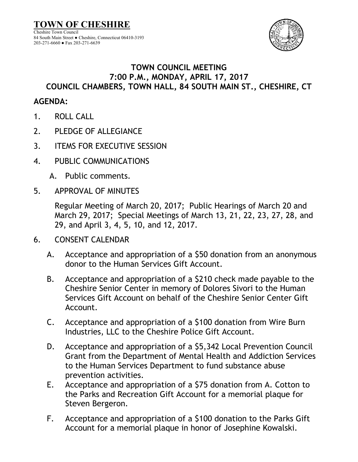**TOWN OF CHESHIRE** Cheshire Town Council 84 South Main Street ● Cheshire, Connecticut 06410-3193 203-271-6660 ● Fax 203-271-6639



## **TOWN COUNCIL MEETING 7:00 P.M., MONDAY, APRIL 17, 2017 COUNCIL CHAMBERS, TOWN HALL, 84 SOUTH MAIN ST., CHESHIRE, CT**

## **AGENDA:**

- 1. ROLL CALL
- 2. PLEDGE OF ALLEGIANCE
- 3. ITEMS FOR EXECUTIVE SESSION
- 4. PUBLIC COMMUNICATIONS
	- A. Public comments.
- 5. APPROVAL OF MINUTES

Regular Meeting of March 20, 2017; Public Hearings of March 20 and March 29, 2017; Special Meetings of March 13, 21, 22, 23, 27, 28, and 29, and April 3, 4, 5, 10, and 12, 2017.

- 6. CONSENT CALENDAR
	- A. Acceptance and appropriation of a \$50 donation from an anonymous donor to the Human Services Gift Account.
	- B. Acceptance and appropriation of a \$210 check made payable to the Cheshire Senior Center in memory of Dolores Sivori to the Human Services Gift Account on behalf of the Cheshire Senior Center Gift Account.
	- C. Acceptance and appropriation of a \$100 donation from Wire Burn Industries, LLC to the Cheshire Police Gift Account.
	- D. Acceptance and appropriation of a \$5,342 Local Prevention Council Grant from the Department of Mental Health and Addiction Services to the Human Services Department to fund substance abuse prevention activities.
	- E. Acceptance and appropriation of a \$75 donation from A. Cotton to the Parks and Recreation Gift Account for a memorial plaque for Steven Bergeron.
	- F. Acceptance and appropriation of a \$100 donation to the Parks Gift Account for a memorial plaque in honor of Josephine Kowalski.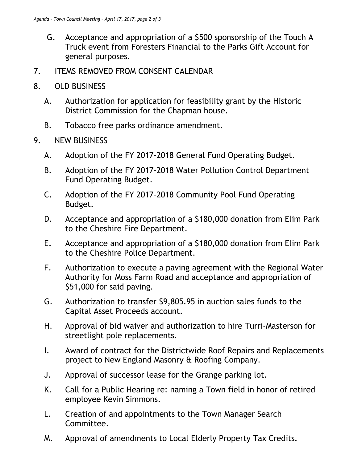- G. Acceptance and appropriation of a \$500 sponsorship of the Touch A Truck event from Foresters Financial to the Parks Gift Account for general purposes.
- 7. ITEMS REMOVED FROM CONSENT CALENDAR
- 8. OLD BUSINESS
	- A. Authorization for application for feasibility grant by the Historic District Commission for the Chapman house.
	- B. Tobacco free parks ordinance amendment.
- 9. NEW BUSINESS
	- A. Adoption of the FY 2017-2018 General Fund Operating Budget.
	- B. Adoption of the FY 2017-2018 Water Pollution Control Department Fund Operating Budget.
	- C. Adoption of the FY 2017-2018 Community Pool Fund Operating Budget.
	- D. Acceptance and appropriation of a \$180,000 donation from Elim Park to the Cheshire Fire Department.
	- E. Acceptance and appropriation of a \$180,000 donation from Elim Park to the Cheshire Police Department.
	- F. Authorization to execute a paving agreement with the Regional Water Authority for Moss Farm Road and acceptance and appropriation of \$51,000 for said paving.
	- G. Authorization to transfer \$9,805.95 in auction sales funds to the Capital Asset Proceeds account.
	- H. Approval of bid waiver and authorization to hire Turri-Masterson for streetlight pole replacements.
	- I. Award of contract for the Districtwide Roof Repairs and Replacements project to New England Masonry & Roofing Company.
	- J. Approval of successor lease for the Grange parking lot.
	- K. Call for a Public Hearing re: naming a Town field in honor of retired employee Kevin Simmons.
	- L. Creation of and appointments to the Town Manager Search Committee.
	- M. Approval of amendments to Local Elderly Property Tax Credits.